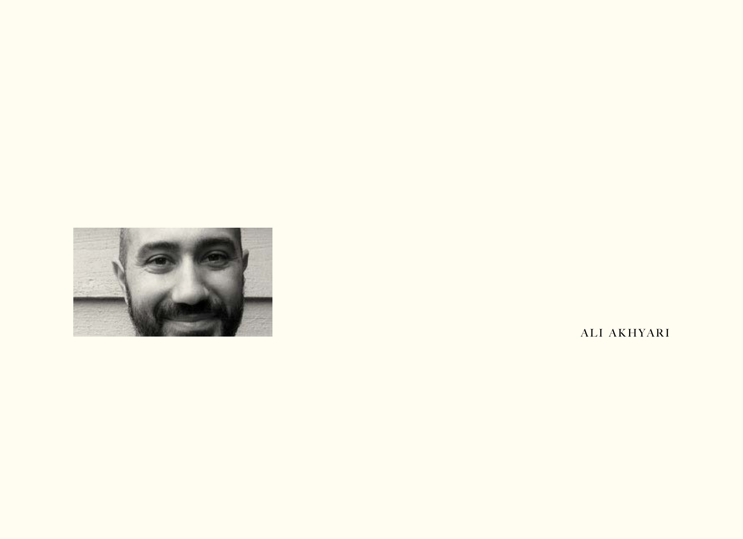

ALI AKHYARI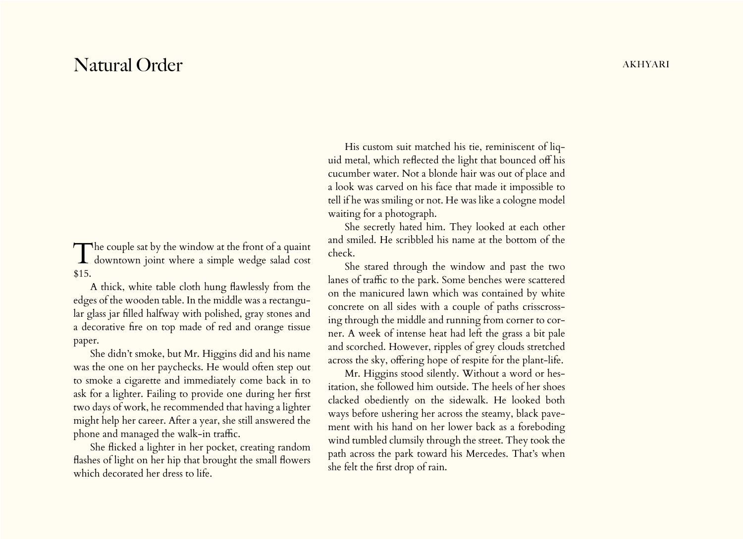## Natural Order akhyari dan kemasihan di sebagai kemasihan dan kemasihan dan kemasihan dan akhyari dan kemasihan

The couple sat by the window at the front of a quaint downtown joint where a simple wedge salad cost \$15.

A thick, white table cloth hung flawlessly from the edges of the wooden table. In the middle was a rectangular glass jar filled halfway with polished, gray stones and a decorative fire on top made of red and orange tissue paper.

She didn't smoke, but Mr. Higgins did and his name was the one on her paychecks. He would often step out to smoke a cigarette and immediately come back in to ask for a lighter. Failing to provide one during her first two days of work, he recommended that having a lighter might help her career. After a year, she still answered the phone and managed the walk-in traffic.

She flicked a lighter in her pocket, creating random flashes of light on her hip that brought the small flowers which decorated her dress to life.

His custom suit matched his tie, reminiscent of liquid metal, which reflected the light that bounced off his cucumber water. Not a blonde hair was out of place and a look was carved on his face that made it impossible to tell if he was smiling or not. He was like a cologne model waiting for a photograph.

She secretly hated him. They looked at each other and smiled. He scribbled his name at the bottom of the check.

She stared through the window and past the two lanes of traffic to the park. Some benches were scattered on the manicured lawn which was contained by white concrete on all sides with a couple of paths crisscrossing through the middle and running from corner to corner. A week of intense heat had left the grass a bit pale and scorched. However, ripples of grey clouds stretched across the sky, offering hope of respite for the plant-life.

Mr. Higgins stood silently. Without a word or hesitation, she followed him outside. The heels of her shoes clacked obediently on the sidewalk. He looked both ways before ushering her across the steamy, black pavement with his hand on her lower back as a foreboding wind tumbled clumsily through the street. They took the path across the park toward his Mercedes. That's when she felt the first drop of rain.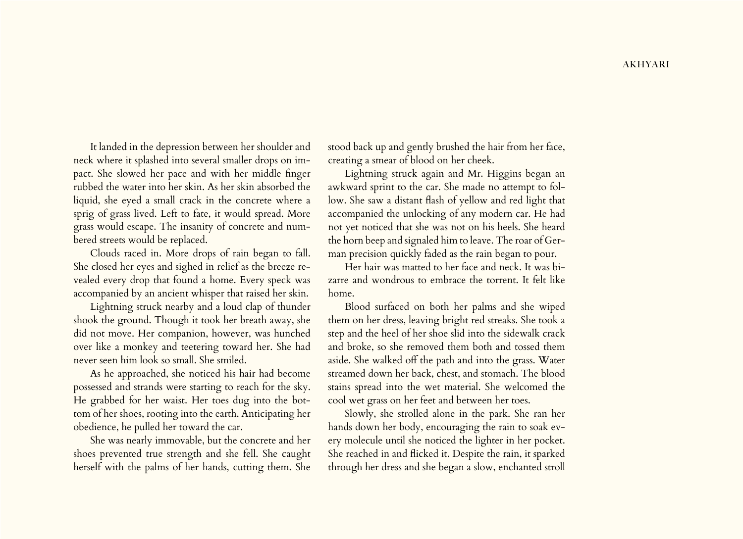It landed in the depression between her shoulder and neck where it splashed into several smaller drops on impact. She slowed her pace and with her middle finger rubbed the water into her skin. As her skin absorbed the liquid, she eyed a small crack in the concrete where a sprig of grass lived. Left to fate, it would spread. More grass would escape. The insanity of concrete and numbered streets would be replaced.

Clouds raced in. More drops of rain began to fall. She closed her eyes and sighed in relief as the breeze revealed every drop that found a home. Every speck was accompanied by an ancient whisper that raised her skin.

Lightning struck nearby and a loud clap of thunder shook the ground. Though it took her breath away, she did not move. Her companion, however, was hunched over like a monkey and teetering toward her. She had never seen him look so small. She smiled.

As he approached, she noticed his hair had become possessed and strands were starting to reach for the sky. He grabbed for her waist. Her toes dug into the bottom of her shoes, rooting into the earth. Anticipating her obedience, he pulled her toward the car.

She was nearly immovable, but the concrete and her shoes prevented true strength and she fell. She caught herself with the palms of her hands, cutting them. She

stood back up and gently brushed the hair from her face, creating a smear of blood on her cheek.

Lightning struck again and Mr. Higgins began an awkward sprint to the car. She made no attempt to follow. She saw a distant flash of yellow and red light that accompanied the unlocking of any modern car. He had not yet noticed that she was not on his heels. She heard the horn beep and signaled him to leave. The roar of German precision quickly faded as the rain began to pour.

Her hair was matted to her face and neck. It was bizarre and wondrous to embrace the torrent. It felt like home.

Blood surfaced on both her palms and she wiped them on her dress, leaving bright red streaks. She took a step and the heel of her shoe slid into the sidewalk crack and broke, so she removed them both and tossed them aside. She walked off the path and into the grass. Water streamed down her back, chest, and stomach. The blood stains spread into the wet material. She welcomed the cool wet grass on her feet and between her toes.

Slowly, she strolled alone in the park. She ran her hands down her body, encouraging the rain to soak every molecule until she noticed the lighter in her pocket. She reached in and flicked it. Despite the rain, it sparked through her dress and she began a slow, enchanted stroll